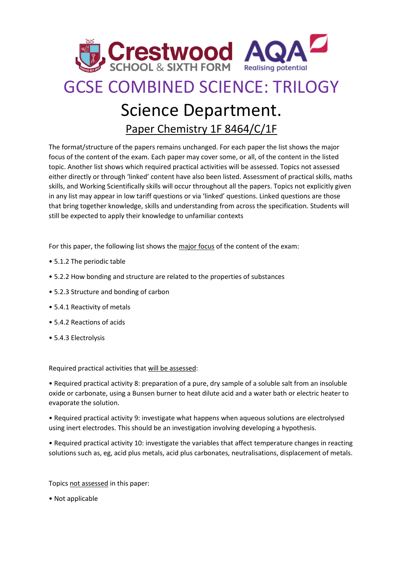

## GCSE COMBINED SCIENCE: TRILOGY

## Science Department.

Paper Chemistry 1F 8464/C/1F

The format/structure of the papers remains unchanged. For each paper the list shows the major focus of the content of the exam. Each paper may cover some, or all, of the content in the listed topic. Another list shows which required practical activities will be assessed. Topics not assessed either directly or through 'linked' content have also been listed. Assessment of practical skills, maths skills, and Working Scientifically skills will occur throughout all the papers. Topics not explicitly given in any list may appear in low tariff questions or via 'linked' questions. Linked questions are those that bring together knowledge, skills and understanding from across the specification. Students will still be expected to apply their knowledge to unfamiliar contexts

For this paper, the following list shows the major focus of the content of the exam:

- 5.1.2 The periodic table
- 5.2.2 How bonding and structure are related to the properties of substances
- 5.2.3 Structure and bonding of carbon
- 5.4.1 Reactivity of metals
- 5.4.2 Reactions of acids
- 5.4.3 Electrolysis

Required practical activities that will be assessed:

• Required practical activity 8: preparation of a pure, dry sample of a soluble salt from an insoluble oxide or carbonate, using a Bunsen burner to heat dilute acid and a water bath or electric heater to evaporate the solution.

• Required practical activity 9: investigate what happens when aqueous solutions are electrolysed using inert electrodes. This should be an investigation involving developing a hypothesis.

• Required practical activity 10: investigate the variables that affect temperature changes in reacting solutions such as, eg, acid plus metals, acid plus carbonates, neutralisations, displacement of metals.

Topics not assessed in this paper:

• Not applicable